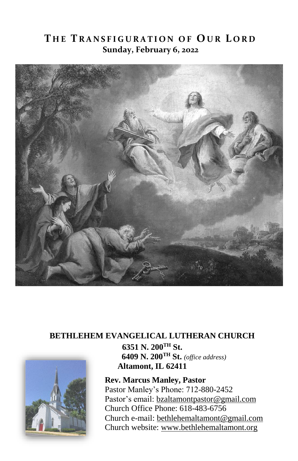## **T H E T R A N S F I G U R A T I O N O F O U R L O R D Sunday, February 6, 2022**



### **BETHLEHEM EVANGELICAL LUTHERAN CHURCH**



**6351 N. 200TH St. 6409 N. 200TH St.** *(office address)* **Altamont, IL 62411**

**Rev. Marcus Manley, Pastor** Pastor Manley's Phone: 712-880-2452 Pastor's email[: bzaltamontpastor@gmail.com](mailto:bzaltamontpastor@gmail.com) Church Office Phone: 618-483-6756 Church e-mail: [bethlehemaltamont@gmail.com](mailto:bethlehemaltamont@gmail.com) Church website: [www.bethlehemaltamont.org](http://www.bethlehemaltamont.org/)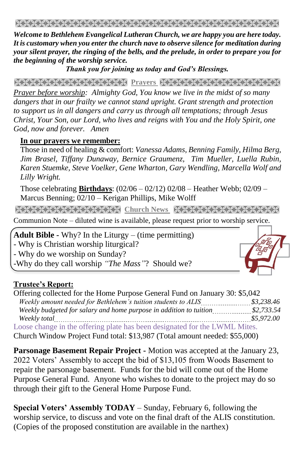*Welcome to Bethlehem Evangelical Lutheran Church, we are happy you are here today. It is customary when you enter the church nave to observe silence for meditation during your silent prayer, the ringing of the bells, and the prelude, in order to prepare you for the beginning of the worship service.* 

*Thank you for joining us today and God's Blessings.*

**Prayers Andrews Community Community Andrews Andrews Andrews Andrews Andrews Andrews Andrews Andrews Andrews Andrews** 

*Prayer before worship: Almighty God, You know we live in the midst of so many dangers that in our frailty we cannot stand upright. Grant strength and protection to support us in all dangers and carry us through all temptations; through Jesus Christ, Your Son, our Lord, who lives and reigns with You and the Holy Spirit, one God, now and forever. Amen*

#### **In our prayers we remember:**

Those in need of healing & comfort: *Vanessa Adams, Benning Family, Hilma Berg, Jim Brasel, Tiffany Dunaway, Bernice Graumenz, Tim Mueller, Luella Rubin, Karen Stuemke, Steve Voelker, Gene Wharton, Gary Wendling, Marcella Wolf and Lilly Wright.*

Those celebrating **Birthdays**: (02/06 – 02/12) 02/08 – Heather Webb; 02/09 – Marcus Benning; 02/10 – Kerigan Phillips, Mike Wolff

**Church News State State State State State State State State** 

Communion Note – diluted wine is available, please request prior to worship service. 

**Adult Bible -** Why? In the Liturgy – (time permitting)

- Why is Christian worship liturgical?

- Why do we worship on Sunday?

-Why do they call worship *"The Mass"*? Should we?

### **Trustee's Report:**

Offering collected for the Home Purpose General Fund on January 30: \$5,042  *Weekly amount needed for Bethlehem's tuition students to ALIS \$3,238.46 Weekly budgeted for salary and home purpose in addition to tuition .....................\$2,733.54 Weekly total \$5,972.00* Loose change in the offering plate has been designated for the LWML Mites.

Church Window Project Fund total: \$13,987 (Total amount needed: \$55,000)

**Parsonage Basement Repair Project -** Motion was accepted at the January 23, 2022 Voters' Assembly to accept the bid of \$13,105 from Woods Basement to repair the parsonage basement. Funds for the bid will come out of the Home Purpose General Fund. Anyone who wishes to donate to the project may do so through their gift to the General Home Purpose Fund.

**Special Voters' Assembly TODAY** – Sunday, February 6, following the worship service, to discuss and vote on the final draft of the ALIS constitution. (Copies of the proposed constitution are available in the narthex)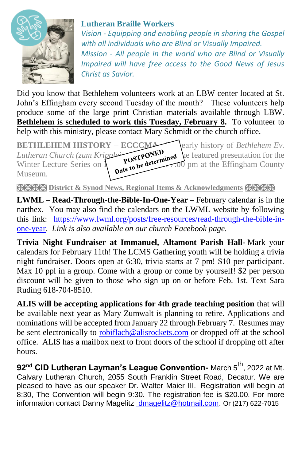

## **Lutheran Braille Workers**

*Vision - Equipping and enabling people in sharing the Gospel with all individuals who are Blind or Visually Impaired. Mission - All people in the world who are Blind or Visually Impaired will have free access to the Good News of Jesus Christ as Savior.*

Did you know that Bethlehem volunteers work at an LBW center located at St. John's Effingham every second Tuesday of the month? These volunteers help produce some of the large print Christian materials available through LBW. **Bethlehem is scheduled to work this Tuesday, February 8.** To volunteer to help with this ministry, please contact Mary Schmidt or the church office.

**BETHLEHEM HISTORY – ECCCMAND** early history of *Bethlehem Ev.*<br> *Lutheran Church* (*zum Kripple* **-**  $\overrightarrow{S}$ **OSTPONED** and the featured presentation for the Winter Lecture S *Lutheran Church (zum Kripplein Charge Christian Church (zum Kripplein Christian Christian Christian Christian Christian Christian Christian Christian Christian Christian Christian Christian Christian Christian Christian C* Winter Lecture Series on  $\Lambda$  POST be determined to pm at the Effingham County Museum.

**EXEM District & Synod News, Regional Items & Acknowledgments** 

**LWML – Read-Through-the-Bible-In-One-Year –** February calendar is in the narthex. You may also find the calendars on the LWML website by following this link:[https://www.lwml.org/posts/free-resources/read-through-the-bible-in](https://www.lwml.org/posts/free-resources/read-through-the-bible-in-one-year)[one-year.](https://www.lwml.org/posts/free-resources/read-through-the-bible-in-one-year) *Link is also available on our church Facebook page.*

**Trivia Night Fundraiser at Immanuel, Altamont Parish Hall-** Mark your calendars for February 11th! The LCMS Gathering youth will be holding a trivia night fundraiser. Doors open at 6:30, trivia starts at 7 pm! \$10 per participant. Max 10 ppl in a group. Come with a group or come by yourself! \$2 per person discount will be given to those who sign up on or before Feb. 1st. Text Sara Ruding 618-704-8510.

**ALIS will be accepting applications for 4th grade teaching position** that will be available next year as Mary Zumwalt is planning to retire. Applications and nominations will be accepted from January 22 through February 7. Resumes may be sent electronically to [robiflach@alisrockets.com](mailto:robiflach@alisrockets.com) or dropped off at the school office. ALIS has a mailbox next to front doors of the school if dropping off after hours.

**92nd CID Lutheran Layman's League Convention-** March 5th, 2022 at Mt. Calvary Lutheran Church, 2055 South Franklin Street Road, Decatur. We are pleased to have as our speaker Dr. Walter Maier III. Registration will begin at 8:30, The Convention will begin 9:30. The registration fee is \$20.00. For more information contact Danny Magelitz [dmagelitz@hotmail.com.](mailto:%20dmagelitz@hotmail.com) Or (217) 622-7015